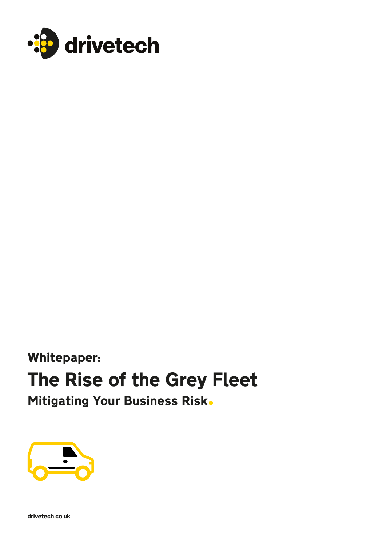

Whitepaper:

## The Rise of the Grey Fleet

Mitigating Your Business Risk.



drivetech.co.uk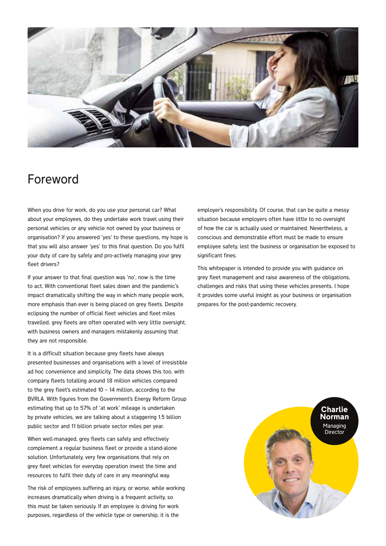

### Foreword

When you drive for work, do you use your personal car? What about your employees, do they undertake work travel using their personal vehicles or any vehicle not owned by your business or organisation? If you answered 'yes' to these questions, my hope is that you will also answer 'yes' to this final question. Do you fulfil your duty of care by safely and pro-actively managing your grey fleet drivers?

If your answer to that final question was 'no', now is the time to act. With conventional fleet sales down and the pandemic's impact dramatically shifting the way in which many people work, more emphasis than ever is being placed on grey fleets. Despite eclipsing the number of official fleet vehicles and fleet miles travelled, grey fleets are often operated with very little oversight, with business owners and managers mistakenly assuming that they are not responsible.

It is a difficult situation because grey fleets have always presented businesses and organisations with a level of irresistible ad hoc convenience and simplicity. The data shows this too, with company fleets totalling around 1.8 million vehicles compared to the grey fleet's estimated 10 – 14 million, according to the BVRLA. With figures from the Government's Energy Reform Group estimating that up to 57% of 'at work' mileage is undertaken by private vehicles, we are talking about a staggering 1.5 billion public sector and 11 billion private sector miles per year.

When well-managed, grey fleets can safely and effectively complement a regular business fleet or provide a stand-alone solution. Unfortunately, very few organisations that rely on grey fleet vehicles for everyday operation invest the time and resources to fulfil their duty of care in any meaningful way.

The risk of employees suffering an injury, or worse, while working increases dramatically when driving is a frequent activity, so this must be taken seriously. If an employee is driving for work purposes, regardless of the vehicle type or ownership, it is the

employer's responsibility. Of course, that can be quite a messy situation because employers often have little to no oversight of how the car is actually used or maintained. Nevertheless, a conscious and demonstrable effort must be made to ensure employee safety, lest the business or organisation be exposed to significant fines.

This whitepaper is intended to provide you with guidance on grey fleet management and raise awareness of the obligations, challenges and risks that using these vehicles presents. I hope it provides some useful insight as your business or organisation prepares for the post-pandemic recovery.

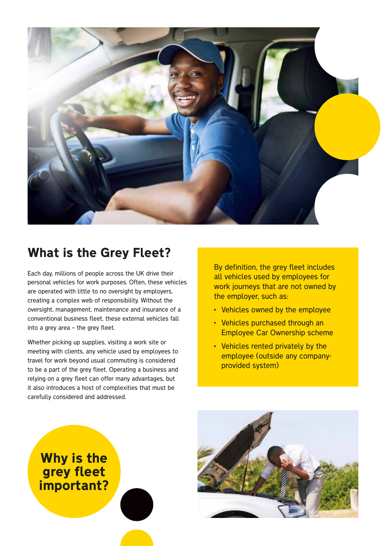

### What is the Grey Fleet?

Each day, millions of people across the UK drive their personal vehicles for work purposes. Often, these vehicles are operated with little to no oversight by employers, creating a complex web of responsibility. Without the oversight, management, maintenance and insurance of a conventional business fleet, these external vehicles fall into a grey area – the grey fleet.

Whether picking up supplies, visiting a work site or meeting with clients, any vehicle used by employees to travel for work beyond usual commuting is considered to be a part of the grey fleet. Operating a business and relying on a grey fleet can offer many advantages, but it also introduces a host of complexities that must be carefully considered and addressed.

By definition, the grey fleet includes all vehicles used by employees for work journeys that are not owned by the employer, such as:

- Vehicles owned by the employee
- Vehicles purchased through an Employee Car Ownership scheme
- Vehicles rented privately by the employee (outside any companyprovided system)



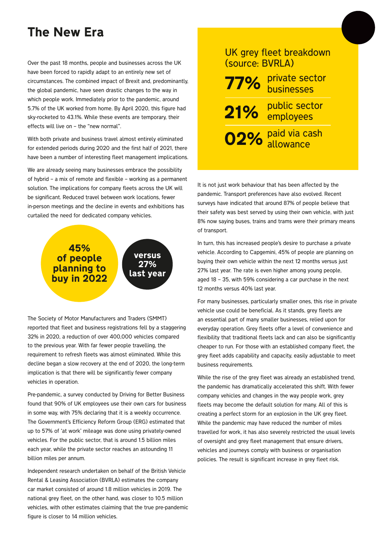### The New Era

Over the past 18 months, people and businesses across the UK have been forced to rapidly adapt to an entirely new set of circumstances. The combined impact of Brexit and, predominantly, the global pandemic, have seen drastic changes to the way in which people work. Immediately prior to the pandemic, around 5.7% of the UK worked from home. By April 2020, this figure had sky-rocketed to 43.1%. While these events are temporary, their effects will live on – the "new normal".

With both private and business travel almost entirely eliminated for extended periods during 2020 and the first half of 2021, there have been a number of interesting fleet management implications.

We are already seeing many businesses embrace the possibility of hybrid – a mix of remote and flexible – working as a permanent solution. The implications for company fleets across the UK will be significant. Reduced travel between work locations, fewer in-person meetings and the decline in events and exhibitions has curtailed the need for dedicated company vehicles.



The Society of Motor Manufacturers and Traders (SMMT) reported that fleet and business registrations fell by a staggering 32% in 2020, a reduction of over 400,000 vehicles compared to the previous year. With far fewer people travelling, the requirement to refresh fleets was almost eliminated. While this decline began a slow recovery at the end of 2020, the long-term implication is that there will be significantly fewer company vehicles in operation.

Pre-pandemic, a survey conducted by Driving for Better Business found that 90% of UK employees use their own cars for business in some way, with 75% declaring that it is a weekly occurrence. The Government's Efficiency Reform Group (ERG) estimated that up to 57% of 'at work' mileage was done using privately-owned vehicles. For the public sector, that is around 1.5 billion miles each year, while the private sector reaches an astounding 11 billion miles per annum.

Independent research undertaken on behalf of the British Vehicle Rental & Leasing Association (BVRLA) estimates the company car market consisted of around 1.8 million vehicles in 2019. The national grey fleet, on the other hand, was closer to 10.5 million vehicles, with other estimates claiming that the true pre-pandemic figure is closer to 14 million vehicles.

### UK grey fleet breakdown (source: BVRLA)

private sector 77% private sec

public sector 21% employees

paid via cash 02% allowance

It is not just work behaviour that has been affected by the pandemic. Transport preferences have also evolved. Recent surveys have indicated that around 87% of people believe that their safety was best served by using their own vehicle, with just 8% now saying buses, trains and trams were their primary means of transport.

In turn, this has increased people's desire to purchase a private vehicle. According to Capgemini, 45% of people are planning on buying their own vehicle within the next 12 months versus just 27% last year. The rate is even higher among young people, aged 18 – 35, with 59% considering a car purchase in the next 12 months versus 40% last year.

For many businesses, particularly smaller ones, this rise in private vehicle use could be beneficial. As it stands, grey fleets are an essential part of many smaller businesses, relied upon for everyday operation. Grey fleets offer a level of convenience and flexibility that traditional fleets lack and can also be significantly cheaper to run. For those with an established company fleet, the grey fleet adds capability and capacity, easily adjustable to meet business requirements.

While the rise of the grey fleet was already an established trend, the pandemic has dramatically accelerated this shift. With fewer company vehicles and changes in the way people work, grey fleets may become the default solution for many. All of this is creating a perfect storm for an explosion in the UK grey fleet. While the pandemic may have reduced the number of miles travelled for work, it has also severely restricted the usual levels of oversight and grey fleet management that ensure drivers, vehicles and journeys comply with business or organisation policies. The result is significant increase in grey fleet risk.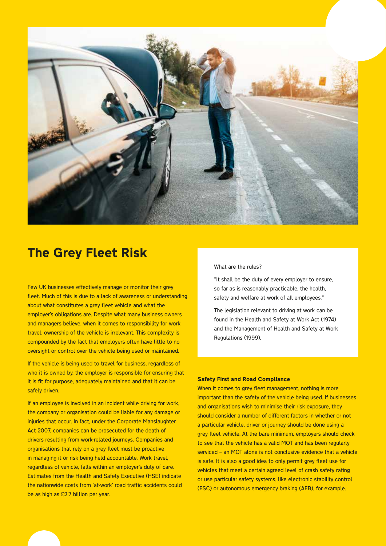

### The Grey Fleet Risk

Few UK businesses effectively manage or monitor their grey fleet. Much of this is due to a lack of awareness or understanding about what constitutes a grey fleet vehicle and what the employer's obligations are. Despite what many business owners and managers believe, when it comes to responsibility for work travel, ownership of the vehicle is irrelevant. This complexity is compounded by the fact that employers often have little to no oversight or control over the vehicle being used or maintained.

If the vehicle is being used to travel for business, regardless of who it is owned by, the employer is responsible for ensuring that it is fit for purpose, adequately maintained and that it can be safely driven.

If an employee is involved in an incident while driving for work, the company or organisation could be liable for any damage or injuries that occur. In fact, under the Corporate Manslaughter Act 2007, companies can be prosecuted for the death of drivers resulting from work-related journeys. Companies and organisations that rely on a grey fleet must be proactive in managing it or risk being held accountable. Work travel, regardless of vehicle, falls within an employer's duty of care. Estimates from the Health and Safety Executive (HSE) indicate the nationwide costs from 'at-work' road traffic accidents could be as high as £2.7 billion per year.

### What are the rules?

"It shall be the duty of every employer to ensure, so far as is reasonably practicable, the health, safety and welfare at work of all employees."

The legislation relevant to driving at work can be found in the Health and Safety at Work Act (1974) and the Management of Health and Safety at Work Regulations (1999).

### Safety First and Road Compliance

When it comes to grey fleet management, nothing is more important than the safety of the vehicle being used. If businesses and organisations wish to minimise their risk exposure, they should consider a number of different factors in whether or not a particular vehicle, driver or journey should be done using a grey fleet vehicle. At the bare minimum, employers should check to see that the vehicle has a valid MOT and has been regularly serviced – an MOT alone is not conclusive evidence that a vehicle is safe. It is also a good idea to only permit grey fleet use for vehicles that meet a certain agreed level of crash safety rating or use particular safety systems, like electronic stability control (ESC) or autonomous emergency braking (AEB), for example.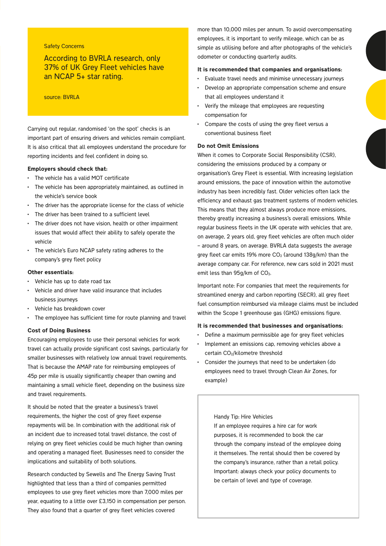### Safety Concerns

According to BVRLA research, only 37% of UK Grey Fleet vehicles have an NCAP 5+ star rating.

#### source: BVRLA

Carrying out regular, randomised 'on the spot' checks is an important part of ensuring drivers and vehicles remain compliant. It is also critical that all employees understand the procedure for reporting incidents and feel confident in doing so.

#### Employers should check that:

- The vehicle has a valid MOT certificate
- The vehicle has been appropriately maintained, as outlined in the vehicle's service book
- The driver has the appropriate license for the class of vehicle
- The driver has been trained to a sufficient level
- The driver does not have vision, health or other impairment issues that would affect their ability to safely operate the vehicle
- The vehicle's Euro NCAP safety rating adheres to the company's grey fleet policy

#### Other essentials:

- Vehicle has up to date road tax
- Vehicle and driver have valid insurance that includes business journeys
- Vehicle has breakdown cover
- The employee has sufficient time for route planning and travel

#### Cost of Doing Business

Encouraging employees to use their personal vehicles for work travel can actually provide significant cost savings, particularly for smaller businesses with relatively low annual travel requirements. That is because the AMAP rate for reimbursing employees of 45p per mile is usually significantly cheaper than owning and maintaining a small vehicle fleet, depending on the business size and travel requirements.

It should be noted that the greater a business's travel requirements, the higher the cost of grey fleet expense repayments will be. In combination with the additional risk of an incident due to increased total travel distance, the cost of relying on grey fleet vehicles could be much higher than owning and operating a managed fleet. Businesses need to consider the implications and suitability of both solutions.

Research conducted by Sewells and The Energy Saving Trust highlighted that less than a third of companies permitted employees to use grey fleet vehicles more than 7,000 miles per year, equating to a little over £3,150 in compensation per person. They also found that a quarter of grey fleet vehicles covered

more than 10,000 miles per annum. To avoid overcompensating employees, it is important to verify mileage, which can be as simple as utilising before and after photographs of the vehicle's odometer or conducting quarterly audits.

#### It is recommended that companies and organisations:

- Evaluate travel needs and minimise unnecessary journeys
- Develop an appropriate compensation scheme and ensure that all employees understand it
- Verify the mileage that employees are requesting compensation for
- Compare the costs of using the grey fleet versus a conventional business fleet

#### Do not Omit Emissions

When it comes to Corporate Social Responsibility (CSR), considering the emissions produced by a company or organisation's Grey Fleet is essential. With increasing legislation around emissions, the pace of innovation within the automotive industry has been incredibly fast. Older vehicles often lack the efficiency and exhaust gas treatment systems of modern vehicles. This means that they almost always produce more emissions, thereby greatly increasing a business's overall emissions. While regular business fleets in the UK operate with vehicles that are, on average, 2 years old, grey fleet vehicles are often much older – around 8 years, on average. BVRLA data suggests the average grey fleet car emits 19% more  $CO<sub>2</sub>$  (around 138g/km) than the average company car. For reference, new cars sold in 2021 must emit less than 95g/km of CO<sub>2</sub>.

Important note: For companies that meet the requirements for streamlined energy and carbon reporting (SECR), all grey fleet fuel consumption reimbursed via mileage claims must be included within the Scope 1 greenhouse gas (GHG) emissions figure.

#### It is recommended that businesses and organisations:

- Define a maximum permissible age for grey fleet vehicles
- Implement an emissions cap, removing vehicles above a certain CO<sub>2</sub>/kilometre threshold
- Consider the journeys that need to be undertaken (do employees need to travel through Clean Air Zones, for example)

### Handy Tip: Hire Vehicles

If an employee requires a hire car for work purposes, it is recommended to book the car through the company instead of the employee doing it themselves. The rental should then be covered by the company's insurance, rather than a retail policy. Important: always check your policy documents to be certain of level and type of coverage.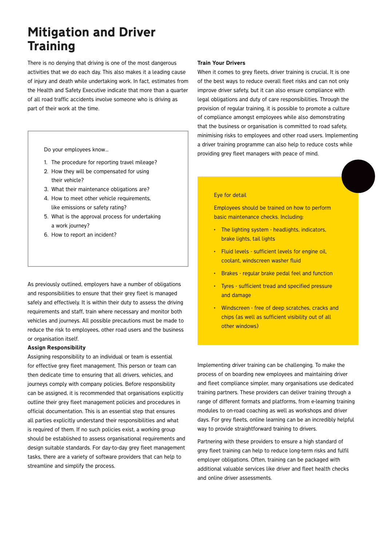### Mitigation and Driver **Training**

There is no denying that driving is one of the most dangerous activities that we do each day. This also makes it a leading cause of injury and death while undertaking work. In fact, estimates from the Health and Safety Executive indicate that more than a quarter of all road traffic accidents involve someone who is driving as part of their work at the time.

Do your employees know…

- 1. The procedure for reporting travel mileage?
- 2. How they will be compensated for using their vehicle?
- 3. What their maintenance obligations are?
- 4. How to meet other vehicle requirements, like emissions or safety rating?
- 5. What is the approval process for undertaking a work journey?
- 6. How to report an incident?

As previously outlined, employers have a number of obligations and responsibilities to ensure that their grey fleet is managed safely and effectively. It is within their duty to assess the driving requirements and staff, train where necessary and monitor both vehicles and journeys. All possible precautions must be made to reduce the risk to employees, other road users and the business or organisation itself.

### Assign Responsibility

Assigning responsibility to an individual or team is essential for effective grey fleet management. This person or team can then dedicate time to ensuring that all drivers, vehicles, and journeys comply with company policies. Before responsibility can be assigned, it is recommended that organisations explicitly outline their grey fleet management policies and procedures in official documentation. This is an essential step that ensures all parties explicitly understand their responsibilities and what is required of them. If no such policies exist, a working group should be established to assess organisational requirements and design suitable standards. For day-to-day grey fleet management tasks, there are a variety of software providers that can help to streamline and simplify the process.

#### Train Your Drivers

When it comes to grey fleets, driver training is crucial. It is one of the best ways to reduce overall fleet risks and can not only improve driver safety, but it can also ensure compliance with legal obligations and duty of care responsibilities. Through the provision of regular training, it is possible to promote a culture of compliance amongst employees while also demonstrating that the business or organisation is committed to road safety, minimising risks to employees and other road users. Implementing a driver training programme can also help to reduce costs while providing grey fleet managers with peace of mind.

#### Eye for detail

Employees should be trained on how to perform basic maintenance checks. Including:

- The lighting system headlights, indicators, brake lights, tail lights
- Fluid levels sufficient levels for engine oil, coolant, windscreen washer fluid
- Brakes regular brake pedal feel and function
- Tyres sufficient tread and specified pressure and damage
- Windscreen free of deep scratches, cracks and chips (as well as sufficient visibility out of all other windows)

Implementing driver training can be challenging. To make the process of on boarding new employees and maintaining driver and fleet compliance simpler, many organisations use dedicated training partners. These providers can deliver training through a range of different formats and platforms, from e-learning training modules to on-road coaching as well as workshops and driver days. For grey fleets, online learning can be an incredibly helpful way to provide straightforward training to drivers.

Partnering with these providers to ensure a high standard of grey fleet training can help to reduce long-term risks and fulfil employer obligations. Often, training can be packaged with additional valuable services like driver and fleet health checks and online driver assessments.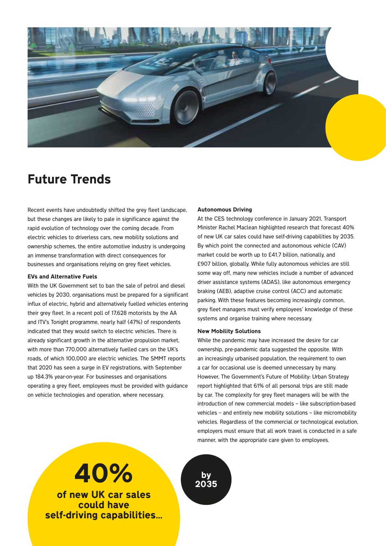

### Future Trends

Recent events have undoubtedly shifted the grey fleet landscape, but these changes are likely to pale in significance against the rapid evolution of technology over the coming decade. From electric vehicles to driverless cars, new mobility solutions and ownership schemes, the entire automotive industry is undergoing an immense transformation with direct consequences for businesses and organisations relying on grey fleet vehicles.

### EVs and Alternative Fuels

With the UK Government set to ban the sale of petrol and diesel vehicles by 2030, organisations must be prepared for a significant influx of electric, hybrid and alternatively fuelled vehicles entering their grey fleet. In a recent poll of 17,628 motorists by the AA and ITV's Tonight programme, nearly half (47%) of respondents indicated that they would switch to electric vehicles. There is already significant growth in the alternative propulsion market, with more than 770,000 alternatively fuelled cars on the UK's roads, of which 100,000 are electric vehicles. The SMMT reports that 2020 has seen a surge in EV registrations, with September up 184.3% year-on-year. For businesses and organisations operating a grey fleet, employees must be provided with guidance on vehicle technologies and operation, where necessary.

### Autonomous Driving

At the CES technology conference in January 2021, Transport Minister Rachel Maclean highlighted research that forecast 40% of new UK car sales could have self-driving capabilities by 2035. By which point the connected and autonomous vehicle (CAV) market could be worth up to £41.7 billion, nationally, and £907 billion, globally. While fully autonomous vehicles are still some way off, many new vehicles include a number of advanced driver assistance systems (ADAS), like autonomous emergency braking (AEB), adaptive cruise control (ACC) and automatic parking. With these features becoming increasingly common, grey fleet managers must verify employees' knowledge of these systems and organise training where necessary.

### New Mobility Solutions

While the pandemic may have increased the desire for car ownership, pre-pandemic data suggested the opposite. With an increasingly urbanised population, the requirement to own a car for occasional use is deemed unnecessary by many. However, The Government's Future of Mobility: Urban Strategy report highlighted that 61% of all personal trips are still made by car. The complexity for grey fleet managers will be with the introduction of new commercial models – like subscription-based vehicles – and entirely new mobility solutions – like micromobility vehicles. Regardless of the commercial or technological evolution, employers must ensure that all work travel is conducted in a safe manner, with the appropriate care given to employees.

# $40\%$  by  $2035$

of new UK car sales could have self-driving capabilities…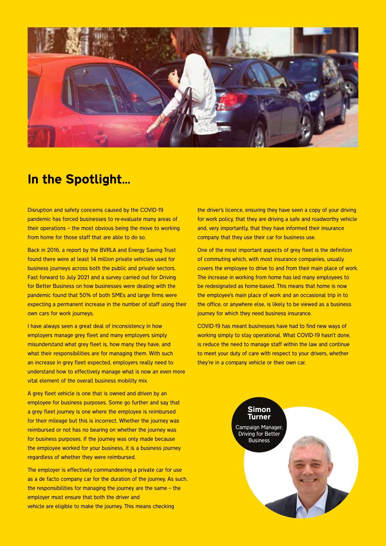

### In the Spotlight…

Disruption and safety concerns caused by the COVID-19 pandemic has forced businesses to re-evaluate many areas of their operations – the most obvious being the move to working from home for those staff that are able to do so.

Back in 2016, a report by the BVRLA and Energy Saving Trust found there were at least 14 million private vehicles used for business journeys across both the public and private sectors. Fast forward to July 2021 and a survey carried out for Driving for Better Business on how businesses were dealing with the pandemic found that 50% of both SMEs and large firms were expecting a permanent increase in the number of staff using their own cars for work journeys.

I have always seen a great deal of inconsistency in how employers manage grey fleet and many employers simply misunderstand what grey fleet is, how many they have, and what their responsibilities are for managing them. With such an increase in grey fleet expected, employers really need to understand how to effectively manage what is now an even more vital element of the overall business mobility mix.

A grey fleet vehicle is one that is owned and driven by an employee for business purposes. Some go further and say that a grey fleet journey is one where the employee is reimbursed for their mileage but this is incorrect. Whether the journey was reimbursed or not has no bearing on whether the journey was for business purposes. If the journey was only made because the employee worked for your business, it is a business journey regardless of whether they were reimbursed.

The employer is effectively commandeering a private car for use as a de facto company car for the duration of the journey. As such, the responsibilities for managing the journey are the same – the employer must ensure that both the driver and vehicle are eligible to make the journey. This means checking

the driver's licence, ensuring they have seen a copy of your driving for work policy, that they are driving a safe and roadworthy vehicle and, very importantly, that they have informed their insurance company that they use their car for business use.

One of the most important aspects of grey fleet is the definition of commuting which, with most insurance companies, usually covers the employee to drive to and from their main place of work. The increase in working from home has led many employees to be redesignated as home-based. This means that home is now the employee's main place of work and an occasional trip in to the office, or anywhere else, is likely to be viewed as a business journey for which they need business insurance.

COVID-19 has meant businesses have had to find new ways of working simply to stay operational. What COVID-19 hasn't done, is reduce the need to manage staff within the law and continue to meet your duty of care with respect to your drivers, whether they're in a company vehicle or their own car.

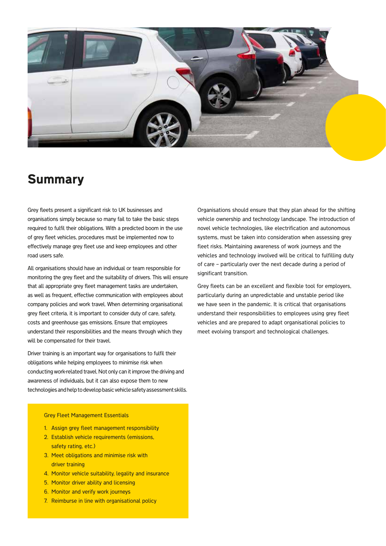

### **Summary**

Grey fleets present a significant risk to UK businesses and organisations simply because so many fail to take the basic steps required to fulfil their obligations. With a predicted boom in the use of grey fleet vehicles, procedures must be implemented now to effectively manage grey fleet use and keep employees and other road users safe.

All organisations should have an individual or team responsible for monitoring the grey fleet and the suitability of drivers. This will ensure that all appropriate grey fleet management tasks are undertaken, as well as frequent, effective communication with employees about company policies and work travel. When determining organisational grey fleet criteria, it is important to consider duty of care, safety, costs and greenhouse gas emissions. Ensure that employees understand their responsibilities and the means through which they will be compensated for their travel.

Driver training is an important way for organisations to fulfil their obligations while helping employees to minimise risk when conducting work-related travel. Not only can it improve the driving and awareness of individuals, but it can also expose them to new technologies and help to develop basic vehicle safety assessment skills. Organisations should ensure that they plan ahead for the shifting vehicle ownership and technology landscape. The introduction of novel vehicle technologies, like electrification and autonomous systems, must be taken into consideration when assessing grey fleet risks. Maintaining awareness of work journeys and the vehicles and technology involved will be critical to fulfilling duty of care – particularly over the next decade during a period of significant transition.

Grey fleets can be an excellent and flexible tool for employers, particularly during an unpredictable and unstable period like we have seen in the pandemic. It is critical that organisations understand their responsibilities to employees using grey fleet vehicles and are prepared to adapt organisational policies to meet evolving transport and technological challenges.

#### Grey Fleet Management Essentials

- 1. Assign grey fleet management responsibility
- 2. Establish vehicle requirements (emissions, safety rating, etc.)
- 3. Meet obligations and minimise risk with driver training
- 4. Monitor vehicle suitability, legality and insurance
- 5. Monitor driver ability and licensing
- 6. Monitor and verify work journeys
- 7. Reimburse in line with organisational policy